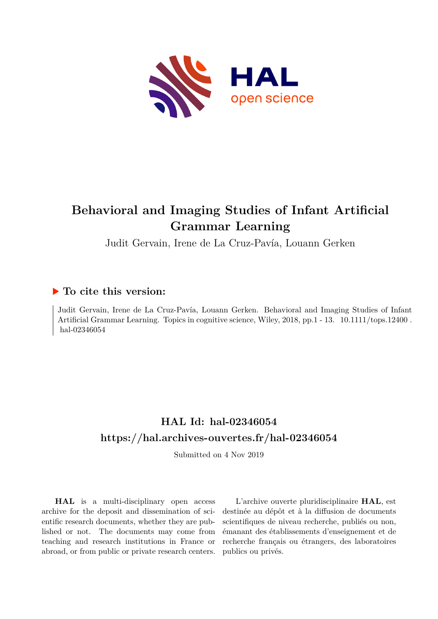

# **Behavioral and Imaging Studies of Infant Artificial Grammar Learning**

Judit Gervain, Irene de La Cruz-Pavía, Louann Gerken

### **To cite this version:**

Judit Gervain, Irene de La Cruz-Pavía, Louann Gerken. Behavioral and Imaging Studies of Infant Artificial Grammar Learning. Topics in cognitive science, Wiley,  $2018$ , pp.1 - 13.  $10.1111/\text{tops}.12400$ . hal-02346054

## **HAL Id: hal-02346054 <https://hal.archives-ouvertes.fr/hal-02346054>**

Submitted on 4 Nov 2019

**HAL** is a multi-disciplinary open access archive for the deposit and dissemination of scientific research documents, whether they are published or not. The documents may come from teaching and research institutions in France or abroad, or from public or private research centers.

L'archive ouverte pluridisciplinaire **HAL**, est destinée au dépôt et à la diffusion de documents scientifiques de niveau recherche, publiés ou non, émanant des établissements d'enseignement et de recherche français ou étrangers, des laboratoires publics ou privés.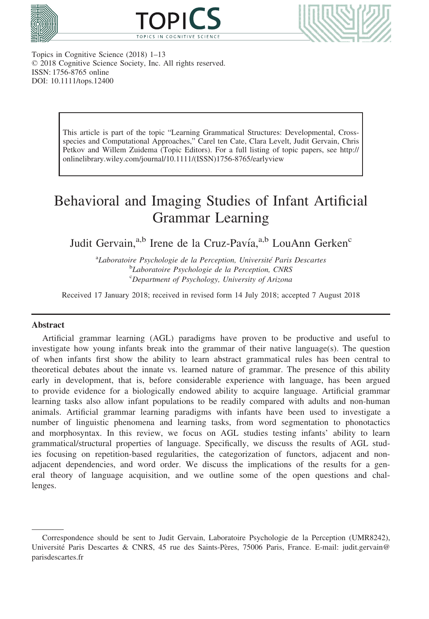





Topics in Cognitive Science (2018) 1–13 © 2018 Cognitive Science Society, Inc. All rights reserved. ISSN: 1756-8765 online DOI: 10.1111/tops.12400

> This article is part of the topic "Learning Grammatical Structures: Developmental, Crossspecies and Computational Approaches," Carel ten Cate, Clara Levelt, Judit Gervain, Chris Petkov and Willem Zuidema (Topic Editors). For a full listing of topic papers, see [http://](http://onlinelibrary.wiley.com/journal/10.1111/(ISSN)1756-8765/earlyview) [onlinelibrary.wiley.com/journal/10.1111/\(ISSN\)1756-8765/earlyview](http://onlinelibrary.wiley.com/journal/10.1111/(ISSN)1756-8765/earlyview)

### Behavioral and Imaging Studies of Infant Artificial Grammar Learning

Judit Gervain,<sup>a,b</sup> Irene de la Cruz-Pavía,<sup>a,b</sup> LouAnn Gerken<sup>c</sup>

<sup>a</sup>Laboratoire Psychologie de la Perception, Université Paris Descartes<br><sup>b</sup>Laboratoire Psychologie de la Perception, CNPS <sup>b</sup>Laboratoire Psychologie de la Perception, CNRS <sup>c</sup>Department of Psychology, University of Arizona

Received 17 January 2018; received in revised form 14 July 2018; accepted 7 August 2018

#### Abstract

Artificial grammar learning (AGL) paradigms have proven to be productive and useful to investigate how young infants break into the grammar of their native language(s). The question of when infants first show the ability to learn abstract grammatical rules has been central to theoretical debates about the innate vs. learned nature of grammar. The presence of this ability early in development, that is, before considerable experience with language, has been argued to provide evidence for a biologically endowed ability to acquire language. Artificial grammar learning tasks also allow infant populations to be readily compared with adults and non-human animals. Artificial grammar learning paradigms with infants have been used to investigate a number of linguistic phenomena and learning tasks, from word segmentation to phonotactics and morphosyntax. In this review, we focus on AGL studies testing infants' ability to learn grammatical/structural properties of language. Specifically, we discuss the results of AGL studies focusing on repetition-based regularities, the categorization of functors, adjacent and nonadjacent dependencies, and word order. We discuss the implications of the results for a general theory of language acquisition, and we outline some of the open questions and challenges.

Correspondence should be sent to Judit Gervain, Laboratoire Psychologie de la Perception (UMR8242), Université Paris Descartes & CNRS, 45 rue des Saints-Pères, 75006 Paris, France. E-mail: [judit.gervain@](mailto:) [parisdescartes.fr](mailto:)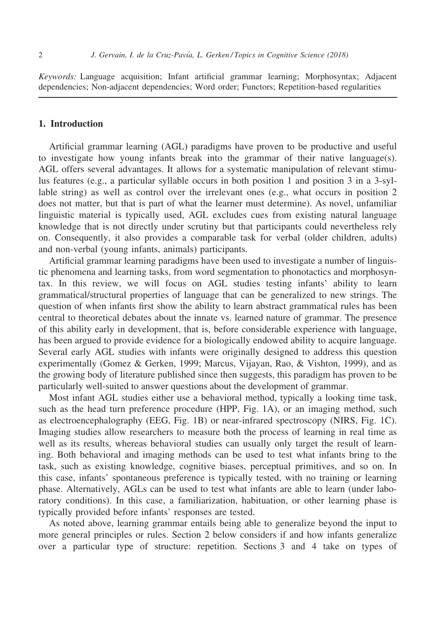Keywords: Language acquisition; Infant artificial grammar learning; Morphosyntax; Adjacent dependencies; Non-adjacent dependencies; Word order; Functors; Repetition-based regularities

#### 1. Introduction

Artificial grammar learning (AGL) paradigms have proven to be productive and useful to investigate how young infants break into the grammar of their native language(s). AGL offers several advantages. It allows for a systematic manipulation of relevant stimulus features (e.g., a particular syllable occurs in both position 1 and position 3 in a 3-syllable string) as well as control over the irrelevant ones (e.g., what occurs in position 2 does not matter, but that is part of what the learner must determine). As novel, unfamiliar linguistic material is typically used, AGL excludes cues from existing natural language knowledge that is not directly under scrutiny but that participants could nevertheless rely on. Consequently, it also provides a comparable task for verbal (older children, adults) and non-verbal (young infants, animals) participants.

Artificial grammar learning paradigms have been used to investigate a number of linguistic phenomena and learning tasks, from word segmentation to phonotactics and morphosyntax. In this review, we will focus on AGL studies testing infants' ability to learn grammatical/structural properties of language that can be generalized to new strings. The question of when infants first show the ability to learn abstract grammatical rules has been central to theoretical debates about the innate vs. learned nature of grammar. The presence of this ability early in development, that is, before considerable experience with language, has been argued to provide evidence for a biologically endowed ability to acquire language. Several early AGL studies with infants were originally designed to address this question experimentally (Gomez & Gerken, 1999; Marcus, Vijayan, Rao, & Vishton, 1999), and as the growing body of literature published since then suggests, this paradigm has proven to be particularly well-suited to answer questions about the development of grammar.

Most infant AGL studies either use a behavioral method, typically a looking time task, such as the head turn preference procedure (HPP, Fig. 1A), or an imaging method, such as electroencephalography (EEG, Fig. 1B) or near-infrared spectroscopy (NIRS, Fig. 1C). Imaging studies allow researchers to measure both the process of learning in real time as well as its results, whereas behavioral studies can usually only target the result of learning. Both behavioral and imaging methods can be used to test what infants bring to the task, such as existing knowledge, cognitive biases, perceptual primitives, and so on. In this case, infants' spontaneous preference is typically tested, with no training or learning phase. Alternatively, AGLs can be used to test what infants are able to learn (under laboratory conditions). In this case, a familiarization, habituation, or other learning phase is typically provided before infants' responses are tested.

As noted above, learning grammar entails being able to generalize beyond the input to more general principles or rules. Section 2 below considers if and how infants generalize over a particular type of structure: repetition. Sections 3 and 4 take on types of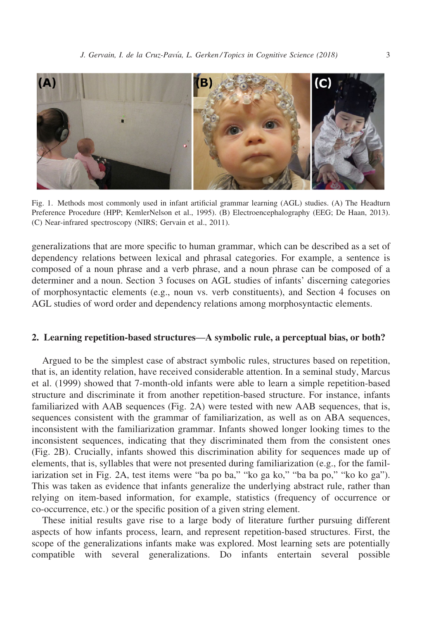

Fig. 1. Methods most commonly used in infant artificial grammar learning (AGL) studies. (A) The Headturn Preference Procedure (HPP; KemlerNelson et al., 1995). (B) Electroencephalography (EEG; De Haan, 2013). (C) Near-infrared spectroscopy (NIRS; Gervain et al., 2011).

generalizations that are more specific to human grammar, which can be described as a set of dependency relations between lexical and phrasal categories. For example, a sentence is composed of a noun phrase and a verb phrase, and a noun phrase can be composed of a determiner and a noun. Section 3 focuses on AGL studies of infants' discerning categories of morphosyntactic elements (e.g., noun vs. verb constituents), and Section 4 focuses on AGL studies of word order and dependency relations among morphosyntactic elements.

#### 2. Learning repetition-based structures—A symbolic rule, a perceptual bias, or both?

Argued to be the simplest case of abstract symbolic rules, structures based on repetition, that is, an identity relation, have received considerable attention. In a seminal study, Marcus et al. (1999) showed that 7-month-old infants were able to learn a simple repetition-based structure and discriminate it from another repetition-based structure. For instance, infants familiarized with AAB sequences (Fig. 2A) were tested with new AAB sequences, that is, sequences consistent with the grammar of familiarization, as well as on ABA sequences, inconsistent with the familiarization grammar. Infants showed longer looking times to the inconsistent sequences, indicating that they discriminated them from the consistent ones (Fig. 2B). Crucially, infants showed this discrimination ability for sequences made up of elements, that is, syllables that were not presented during familiarization (e.g., for the familiarization set in Fig. 2A, test items were "ba po ba," "ko ga ko," "ba ba po," "ko ko ga"). This was taken as evidence that infants generalize the underlying abstract rule, rather than relying on item-based information, for example, statistics (frequency of occurrence or co-occurrence, etc.) or the specific position of a given string element.

These initial results gave rise to a large body of literature further pursuing different aspects of how infants process, learn, and represent repetition-based structures. First, the scope of the generalizations infants make was explored. Most learning sets are potentially compatible with several generalizations. Do infants entertain several possible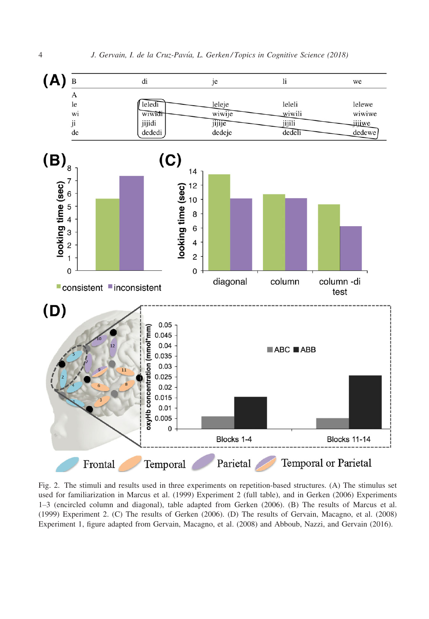

Fig. 2. The stimuli and results used in three experiments on repetition-based structures. (A) The stimulus set used for familiarization in Marcus et al. (1999) Experiment 2 (full table), and in Gerken (2006) Experiments 1–3 (encircled column and diagonal), table adapted from Gerken (2006). (B) The results of Marcus et al. (1999) Experiment 2. (C) The results of Gerken (2006). (D) The results of Gervain, Macagno, et al. (2008) Experiment 1, figure adapted from Gervain, Macagno, et al. (2008) and Abboub, Nazzi, and Gervain (2016).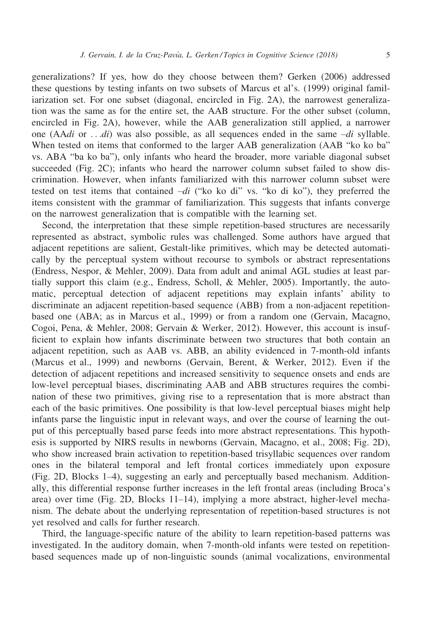generalizations? If yes, how do they choose between them? Gerken (2006) addressed these questions by testing infants on two subsets of Marcus et al's. (1999) original familiarization set. For one subset (diagonal, encircled in Fig. 2A), the narrowest generalization was the same as for the entire set, the AAB structure. For the other subset (column, encircled in Fig. 2A), however, while the AAB generalization still applied, a narrower one (AAdi or  $\dots$ di) was also possible, as all sequences ended in the same  $-di$  syllable. When tested on items that conformed to the larger AAB generalization (AAB "ko ko ba" vs. ABA "ba ko ba"), only infants who heard the broader, more variable diagonal subset succeeded (Fig. 2C); infants who heard the narrower column subset failed to show discrimination. However, when infants familiarized with this narrower column subset were tested on test items that contained  $-di$  ("ko ko di" vs. "ko di ko"), they preferred the items consistent with the grammar of familiarization. This suggests that infants converge on the narrowest generalization that is compatible with the learning set.

Second, the interpretation that these simple repetition-based structures are necessarily represented as abstract, symbolic rules was challenged. Some authors have argued that adjacent repetitions are salient, Gestalt-like primitives, which may be detected automatically by the perceptual system without recourse to symbols or abstract representations (Endress, Nespor, & Mehler, 2009). Data from adult and animal AGL studies at least partially support this claim (e.g., Endress, Scholl, & Mehler, 2005). Importantly, the automatic, perceptual detection of adjacent repetitions may explain infants' ability to discriminate an adjacent repetition-based sequence (ABB) from a non-adjacent repetitionbased one (ABA; as in Marcus et al., 1999) or from a random one (Gervain, Macagno, Cogoi, Pena, & Mehler, 2008; Gervain & Werker, 2012). However, this account is insufficient to explain how infants discriminate between two structures that both contain an adjacent repetition, such as AAB vs. ABB, an ability evidenced in 7-month-old infants (Marcus et al., 1999) and newborns (Gervain, Berent, & Werker, 2012). Even if the detection of adjacent repetitions and increased sensitivity to sequence onsets and ends are low-level perceptual biases, discriminating AAB and ABB structures requires the combination of these two primitives, giving rise to a representation that is more abstract than each of the basic primitives. One possibility is that low-level perceptual biases might help infants parse the linguistic input in relevant ways, and over the course of learning the output of this perceptually based parse feeds into more abstract representations. This hypothesis is supported by NIRS results in newborns (Gervain, Macagno, et al., 2008; Fig. 2D), who show increased brain activation to repetition-based trisyllabic sequences over random ones in the bilateral temporal and left frontal cortices immediately upon exposure (Fig. 2D, Blocks 1–4), suggesting an early and perceptually based mechanism. Additionally, this differential response further increases in the left frontal areas (including Broca's area) over time (Fig. 2D, Blocks 11–14), implying a more abstract, higher-level mechanism. The debate about the underlying representation of repetition-based structures is not yet resolved and calls for further research.

Third, the language-specific nature of the ability to learn repetition-based patterns was investigated. In the auditory domain, when 7-month-old infants were tested on repetitionbased sequences made up of non-linguistic sounds (animal vocalizations, environmental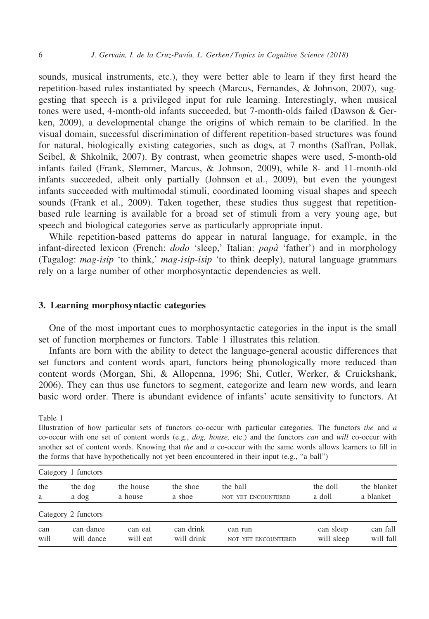sounds, musical instruments, etc.), they were better able to learn if they first heard the repetition-based rules instantiated by speech (Marcus, Fernandes, & Johnson, 2007), suggesting that speech is a privileged input for rule learning. Interestingly, when musical tones were used, 4-month-old infants succeeded, but 7-month-olds failed (Dawson & Gerken, 2009), a developmental change the origins of which remain to be clarified. In the visual domain, successful discrimination of different repetition-based structures was found for natural, biologically existing categories, such as dogs, at 7 months (Saffran, Pollak, Seibel, & Shkolnik, 2007). By contrast, when geometric shapes were used, 5-month-old infants failed (Frank, Slemmer, Marcus, & Johnson, 2009), while 8- and 11-month-old infants succeeded, albeit only partially (Johnson et al., 2009), but even the youngest infants succeeded with multimodal stimuli, coordinated looming visual shapes and speech sounds (Frank et al., 2009). Taken together, these studies thus suggest that repetitionbased rule learning is available for a broad set of stimuli from a very young age, but speech and biological categories serve as particularly appropriate input.

While repetition-based patterns do appear in natural language, for example, in the infant-directed lexicon (French: *dodo* 'sleep,' Italian: *papà* 'father') and in morphology (Tagalog: *mag-isip* 'to think,' *mag-isip-isip* 'to think deeply), natural language grammars rely on a large number of other morphosyntactic dependencies as well.

#### 3. Learning morphosyntactic categories

One of the most important cues to morphosyntactic categories in the input is the small set of function morphemes or functors. Table 1 illustrates this relation.

Infants are born with the ability to detect the language-general acoustic differences that set functors and content words apart, functors being phonologically more reduced than content words (Morgan, Shi, & Allopenna, 1996; Shi, Cutler, Werker, & Cruickshank, 2006). They can thus use functors to segment, categorize and learn new words, and learn basic word order. There is abundant evidence of infants' acute sensitivity to functors. At

Table 1

Illustration of how particular sets of functors co-occur with particular categories. The functors the and a co-occur with one set of content words (e.g., dog, house, etc.) and the functors can and will co-occur with another set of content words. Knowing that the and a co-occur with the same words allows learners to fill in the forms that have hypothetically not yet been encountered in their input (e.g., "a ball")

| Category 1 functors |                     |           |            |                     |            |             |
|---------------------|---------------------|-----------|------------|---------------------|------------|-------------|
| the                 | the dog             | the house | the shoe   | the ball            | the doll   | the blanket |
| a                   | a dog               | a house   | a shoe     | NOT YET ENCOUNTERED | a doll     | a blanket   |
|                     | Category 2 functors |           |            |                     |            |             |
| can                 | can dance           | can eat   | can drink  | can run             | can sleep  | can fall    |
| will                | will dance          | will eat  | will drink | NOT YET ENCOUNTERED | will sleep | will fall   |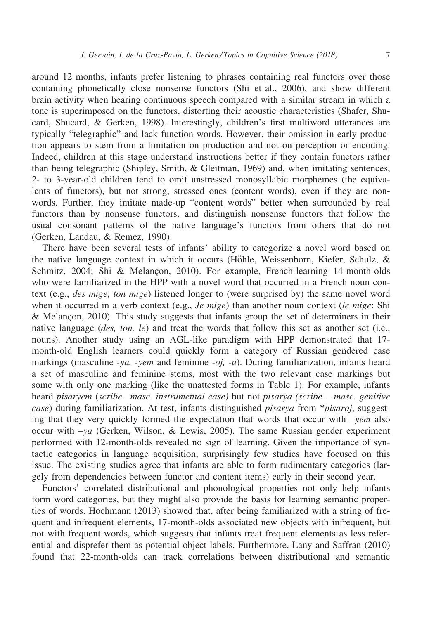around 12 months, infants prefer listening to phrases containing real functors over those containing phonetically close nonsense functors (Shi et al., 2006), and show different brain activity when hearing continuous speech compared with a similar stream in which a tone is superimposed on the functors, distorting their acoustic characteristics (Shafer, Shucard, Shucard, & Gerken, 1998). Interestingly, children's first multiword utterances are typically "telegraphic" and lack function words. However, their omission in early production appears to stem from a limitation on production and not on perception or encoding. Indeed, children at this stage understand instructions better if they contain functors rather than being telegraphic (Shipley, Smith, & Gleitman, 1969) and, when imitating sentences, 2- to 3-year-old children tend to omit unstressed monosyllabic morphemes (the equivalents of functors), but not strong, stressed ones (content words), even if they are nonwords. Further, they imitate made-up "content words" better when surrounded by real functors than by nonsense functors, and distinguish nonsense functors that follow the usual consonant patterns of the native language's functors from others that do not (Gerken, Landau, & Remez, 1990).

There have been several tests of infants' ability to categorize a novel word based on the native language context in which it occurs (Höhle, Weissenborn, Kiefer, Schulz, & Schmitz, 2004; Shi & Melancon, 2010). For example, French-learning 14-month-olds who were familiarized in the HPP with a novel word that occurred in a French noun context (e.g., des mige, ton mige) listened longer to (were surprised by) the same novel word when it occurred in a verb context (e.g., *Je mige*) than another noun context (le mige; Shi & Melancon, 2010). This study suggests that infants group the set of determiners in their native language (*des, ton, le*) and treat the words that follow this set as another set (*i.e.*, nouns). Another study using an AGL-like paradigm with HPP demonstrated that 17 month-old English learners could quickly form a category of Russian gendered case markings (masculine  $\neg ya$ ,  $\neg yem$  and feminine  $\neg \circ j$ ,  $\neg u$ ). During familiarization, infants heard a set of masculine and feminine stems, most with the two relevant case markings but some with only one marking (like the unattested forms in Table 1). For example, infants heard pisaryem (scribe –masc. instrumental case) but not pisarya (scribe – masc. genitive case) during familiarization. At test, infants distinguished pisarya from \*pisaroj, suggesting that they very quickly formed the expectation that words that occur with  $-$ yem also occur with  $\neg a$  (Gerken, Wilson, & Lewis, 2005). The same Russian gender experiment performed with 12-month-olds revealed no sign of learning. Given the importance of syntactic categories in language acquisition, surprisingly few studies have focused on this issue. The existing studies agree that infants are able to form rudimentary categories (largely from dependencies between functor and content items) early in their second year.

Functors' correlated distributional and phonological properties not only help infants form word categories, but they might also provide the basis for learning semantic properties of words. Hochmann (2013) showed that, after being familiarized with a string of frequent and infrequent elements, 17-month-olds associated new objects with infrequent, but not with frequent words, which suggests that infants treat frequent elements as less referential and disprefer them as potential object labels. Furthermore, Lany and Saffran (2010) found that 22-month-olds can track correlations between distributional and semantic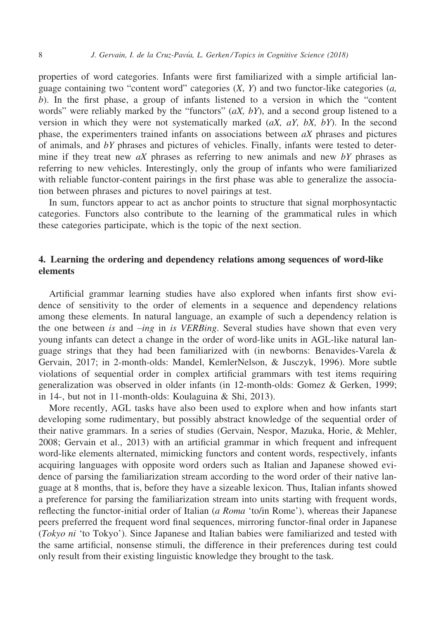properties of word categories. Infants were first familiarized with a simple artificial language containing two "content word" categories  $(X, Y)$  and two functor-like categories  $(a,$ b). In the first phase, a group of infants listened to a version in which the "content words" were reliably marked by the "functors"  $(aX, bY)$ , and a second group listened to a version in which they were not systematically marked  $(aX, aY, bX, bY)$ . In the second phase, the experimenters trained infants on associations between  $aX$  phrases and pictures of animals, and  $bY$  phrases and pictures of vehicles. Finally, infants were tested to determine if they treat new  $aX$  phrases as referring to new animals and new  $bY$  phrases as referring to new vehicles. Interestingly, only the group of infants who were familiarized with reliable functor-content pairings in the first phase was able to generalize the association between phrases and pictures to novel pairings at test.

In sum, functors appear to act as anchor points to structure that signal morphosyntactic categories. Functors also contribute to the learning of the grammatical rules in which these categories participate, which is the topic of the next section.

#### 4. Learning the ordering and dependency relations among sequences of word-like elements

Artificial grammar learning studies have also explored when infants first show evidence of sensitivity to the order of elements in a sequence and dependency relations among these elements. In natural language, an example of such a dependency relation is the one between is and  $-ing$  in is VERBing. Several studies have shown that even very young infants can detect a change in the order of word-like units in AGL-like natural language strings that they had been familiarized with (in newborns: Benavides-Varela & Gervain, 2017; in 2-month-olds: Mandel, KemlerNelson, & Jusczyk, 1996). More subtle violations of sequential order in complex artificial grammars with test items requiring generalization was observed in older infants (in 12-month-olds: Gomez & Gerken, 1999; in 14-, but not in 11-month-olds: Koulaguina & Shi, 2013).

More recently, AGL tasks have also been used to explore when and how infants start developing some rudimentary, but possibly abstract knowledge of the sequential order of their native grammars. In a series of studies (Gervain, Nespor, Mazuka, Horie, & Mehler, 2008; Gervain et al., 2013) with an artificial grammar in which frequent and infrequent word-like elements alternated, mimicking functors and content words, respectively, infants acquiring languages with opposite word orders such as Italian and Japanese showed evidence of parsing the familiarization stream according to the word order of their native language at 8 months, that is, before they have a sizeable lexicon. Thus, Italian infants showed a preference for parsing the familiarization stream into units starting with frequent words, reflecting the functor-initial order of Italian ( $a$  Roma 'to/in Rome'), whereas their Japanese peers preferred the frequent word final sequences, mirroring functor-final order in Japanese (Tokyo ni 'to Tokyo'). Since Japanese and Italian babies were familiarized and tested with the same artificial, nonsense stimuli, the difference in their preferences during test could only result from their existing linguistic knowledge they brought to the task.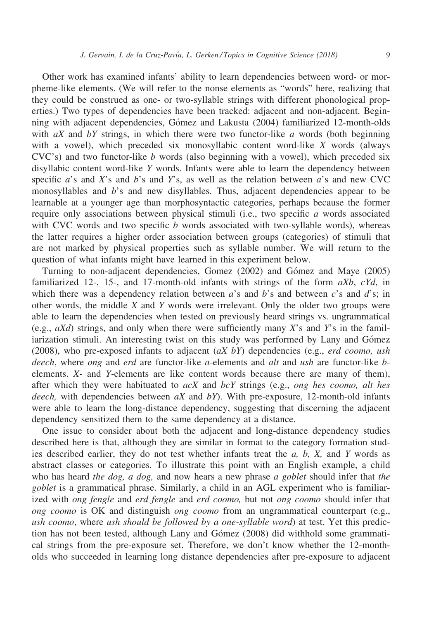Other work has examined infants' ability to learn dependencies between word- or morpheme-like elements. (We will refer to the nonse elements as "words" here, realizing that they could be construed as one- or two-syllable strings with different phonological properties.) Two types of dependencies have been tracked: adjacent and non-adjacent. Beginning with adjacent dependencies, Gomez and Lakusta (2004) familiarized 12-month-olds with  $aX$  and  $bY$  strings, in which there were two functor-like  $a$  words (both beginning with a vowel), which preceded six monosyllabic content word-like  $X$  words (always  $CVC's$ ) and two functor-like b words (also beginning with a vowel), which preceded six disyllabic content word-like Y words. Infants were able to learn the dependency between specific  $a$ 's and  $X$ 's and  $b$ 's and  $Y$ 's, as well as the relation between  $a$ 's and new CVC monosyllables and b's and new disyllables. Thus, adjacent dependencies appear to be learnable at a younger age than morphosyntactic categories, perhaps because the former require only associations between physical stimuli (i.e., two specific a words associated with CVC words and two specific  $b$  words associated with two-syllable words), whereas the latter requires a higher order association between groups (categories) of stimuli that are not marked by physical properties such as syllable number. We will return to the question of what infants might have learned in this experiment below.

Turning to non-adjacent dependencies, Gomez (2002) and Gómez and Maye (2005) familiarized 12-, 15-, and 17-month-old infants with strings of the form aXb, cYd, in which there was a dependency relation between  $a$ 's and  $b$ 's and between  $c$ 's and  $d$ 's; in other words, the middle  $X$  and  $Y$  words were irrelevant. Only the older two groups were able to learn the dependencies when tested on previously heard strings vs. ungrammatical (e.g.,  $aXd$ ) strings, and only when there were sufficiently many X's and Y's in the familiarization stimuli. An interesting twist on this study was performed by Lany and Gómez (2008), who pre-exposed infants to adjacent  $(aX bY)$  dependencies (e.g., *erd coomo, ush* deech, where ong and erd are functor-like a-elements and alt and ush are functor-like belements. X- and Y-elements are like content words because there are many of them), after which they were habituated to  $acX$  and  $bcY$  strings (e.g., ong hes coomo, alt hes deech, with dependencies between  $aX$  and  $bY$ ). With pre-exposure, 12-month-old infants were able to learn the long-distance dependency, suggesting that discerning the adjacent dependency sensitized them to the same dependency at a distance.

One issue to consider about both the adjacent and long-distance dependency studies described here is that, although they are similar in format to the category formation studies described earlier, they do not test whether infants treat the  $a$ ,  $b$ ,  $X$ , and  $Y$  words as abstract classes or categories. To illustrate this point with an English example, a child who has heard the dog, a dog, and now hears a new phrase a goblet should infer that the goblet is a grammatical phrase. Similarly, a child in an AGL experiment who is familiarized with ong fengle and erd fengle and erd coomo, but not ong coomo should infer that ong coomo is OK and distinguish ong coomo from an ungrammatical counterpart (e.g., ush coomo, where ush should be followed by a one-syllable word) at test. Yet this prediction has not been tested, although Lany and Gomez (2008) did withhold some grammatical strings from the pre-exposure set. Therefore, we don't know whether the 12-montholds who succeeded in learning long distance dependencies after pre-exposure to adjacent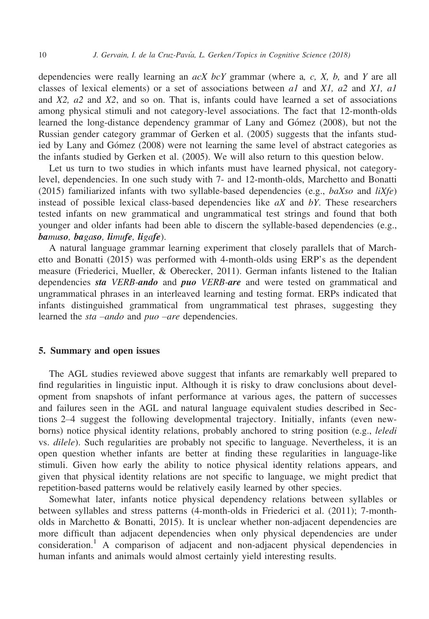dependencies were really learning an  $acX$  bcY grammar (where a, c, X, b, and Y are all classes of lexical elements) or a set of associations between  $aI$  and  $XI$ ,  $a2$  and  $XI$ ,  $aI$ and  $X2$ ,  $a2$  and  $X2$ , and so on. That is, infants could have learned a set of associations among physical stimuli and not category-level associations. The fact that 12-month-olds learned the long-distance dependency grammar of Lany and Gómez (2008), but not the Russian gender category grammar of Gerken et al. (2005) suggests that the infants studied by Lany and Gomez (2008) were not learning the same level of abstract categories as the infants studied by Gerken et al. (2005). We will also return to this question below.

Let us turn to two studies in which infants must have learned physical, not categorylevel, dependencies. In one such study with 7- and 12-month-olds, Marchetto and Bonatti (2015) familiarized infants with two syllable-based dependencies (e.g.,  $b$ aXso and liXfe) instead of possible lexical class-based dependencies like  $aX$  and  $bY$ . These researchers tested infants on new grammatical and ungrammatical test strings and found that both younger and older infants had been able to discern the syllable-based dependencies (e.g., bamuso, bagaso, limufe, ligafe).

A natural language grammar learning experiment that closely parallels that of Marchetto and Bonatti (2015) was performed with 4-month-olds using ERP's as the dependent measure (Friederici, Mueller, & Oberecker, 2011). German infants listened to the Italian dependencies sta VERB-ando and puo VERB-are and were tested on grammatical and ungrammatical phrases in an interleaved learning and testing format. ERPs indicated that infants distinguished grammatical from ungrammatical test phrases, suggesting they learned the *sta –ando* and *puo –are* dependencies.

#### 5. Summary and open issues

The AGL studies reviewed above suggest that infants are remarkably well prepared to find regularities in linguistic input. Although it is risky to draw conclusions about development from snapshots of infant performance at various ages, the pattern of successes and failures seen in the AGL and natural language equivalent studies described in Sections 2–4 suggest the following developmental trajectory. Initially, infants (even newborns) notice physical identity relations, probably anchored to string position (e.g., *leledi* vs. dilele). Such regularities are probably not specific to language. Nevertheless, it is an open question whether infants are better at finding these regularities in language-like stimuli. Given how early the ability to notice physical identity relations appears, and given that physical identity relations are not specific to language, we might predict that repetition-based patterns would be relatively easily learned by other species.

Somewhat later, infants notice physical dependency relations between syllables or between syllables and stress patterns (4-month-olds in Friederici et al. (2011); 7-montholds in Marchetto & Bonatti, 2015). It is unclear whether non-adjacent dependencies are more difficult than adjacent dependencies when only physical dependencies are under consideration.<sup>1</sup> A comparison of adjacent and non-adjacent physical dependencies in human infants and animals would almost certainly yield interesting results.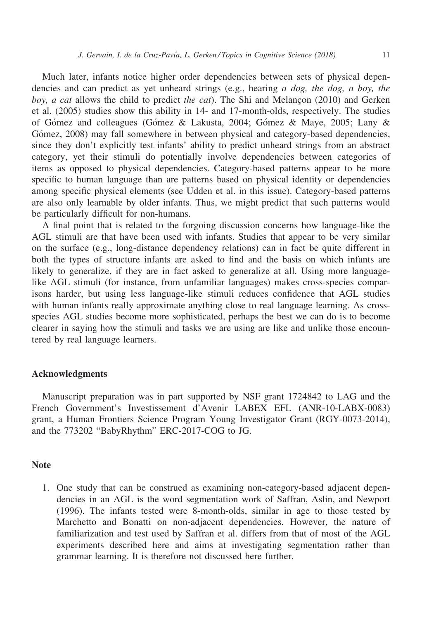Much later, infants notice higher order dependencies between sets of physical dependencies and can predict as yet unheard strings (e.g., hearing a dog, the dog, a boy, the boy, a cat allows the child to predict the cat). The Shi and Melancon (2010) and Gerken et al. (2005) studies show this ability in 14- and 17-month-olds, respectively. The studies of Gomez and colleagues (Gomez & Lakusta, 2004; Gomez & Maye, 2005; Lany & Gómez, 2008) may fall somewhere in between physical and category-based dependencies, since they don't explicitly test infants' ability to predict unheard strings from an abstract category, yet their stimuli do potentially involve dependencies between categories of items as opposed to physical dependencies. Category-based patterns appear to be more specific to human language than are patterns based on physical identity or dependencies among specific physical elements (see Udden et al. in this issue). Category-based patterns are also only learnable by older infants. Thus, we might predict that such patterns would be particularly difficult for non-humans.

A final point that is related to the forgoing discussion concerns how language-like the AGL stimuli are that have been used with infants. Studies that appear to be very similar on the surface (e.g., long-distance dependency relations) can in fact be quite different in both the types of structure infants are asked to find and the basis on which infants are likely to generalize, if they are in fact asked to generalize at all. Using more languagelike AGL stimuli (for instance, from unfamiliar languages) makes cross-species comparisons harder, but using less language-like stimuli reduces confidence that AGL studies with human infants really approximate anything close to real language learning. As crossspecies AGL studies become more sophisticated, perhaps the best we can do is to become clearer in saying how the stimuli and tasks we are using are like and unlike those encountered by real language learners.

#### Acknowledgments

Manuscript preparation was in part supported by NSF grant 1724842 to LAG and the French Government's Investissement d'Avenir LABEX EFL (ANR-10-LABX-0083) grant, a Human Frontiers Science Program Young Investigator Grant (RGY-0073-2014), and the 773202 "BabyRhythm" ERC-2017-COG to JG.

#### **Note**

1. One study that can be construed as examining non-category-based adjacent dependencies in an AGL is the word segmentation work of Saffran, Aslin, and Newport (1996). The infants tested were 8-month-olds, similar in age to those tested by Marchetto and Bonatti on non-adjacent dependencies. However, the nature of familiarization and test used by Saffran et al. differs from that of most of the AGL experiments described here and aims at investigating segmentation rather than grammar learning. It is therefore not discussed here further.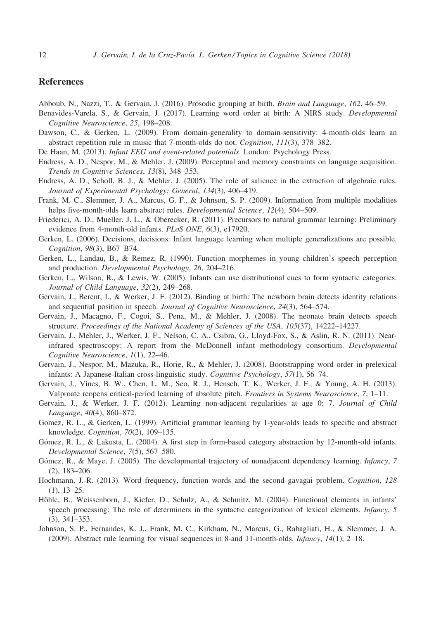#### References

Abboub, N., Nazzi, T., & Gervain, J. (2016). Prosodic grouping at birth. Brain and Language, 162, 46–59.

- Benavides-Varela, S., & Gervain, J. (2017). Learning word order at birth: A NIRS study. Developmental Cognitive Neuroscience, 25, 198–208.
- Dawson, C., & Gerken, L. (2009). From domain-generality to domain-sensitivity: 4-month-olds learn an abstract repetition rule in music that 7-month-olds do not. Cognition, 111(3), 378–382.
- De Haan, M. (2013). *Infant EEG and event-related potentials*. London: Psychology Press.
- Endress, A. D., Nespor, M., & Mehler, J. (2009). Perceptual and memory constraints on language acquisition. Trends in Cognitive Sciences, 13(8), 348–353.
- Endress, A. D., Scholl, B. J., & Mehler, J. (2005). The role of salience in the extraction of algebraic rules. Journal of Experimental Psychology: General, 134(3), 406–419.
- Frank, M. C., Slemmer, J. A., Marcus, G. F., & Johnson, S. P. (2009). Information from multiple modalities helps five-month-olds learn abstract rules. *Developmental Science*, 12(4), 504–509.
- Friederici, A. D., Mueller, J. L., & Oberecker, R. (2011). Precursors to natural grammar learning: Preliminary evidence from 4-month-old infants. PLoS ONE, 6(3), e17920.
- Gerken, L. (2006). Decisions, decisions: Infant language learning when multiple generalizations are possible. Cognition, 98(3), B67–B74.
- Gerken, L., Landau, B., & Remez, R. (1990). Function morphemes in young children's speech perception and production. Developmental Psychology, 26, 204–216.
- Gerken, L., Wilson, R., & Lewis, W. (2005). Infants can use distributional cues to form syntactic categories. Journal of Child Language, 32(2), 249–268.
- Gervain, J., Berent, I., & Werker, J. F. (2012). Binding at birth: The newborn brain detects identity relations and sequential position in speech. Journal of Cognitive Neuroscience, 24(3), 564–574.
- Gervain, J., Macagno, F., Cogoi, S., Pena, M., & Mehler, J. (2008). The neonate brain detects speech structure. Proceedings of the National Academy of Sciences of the USA, 105(37), 14222–14227.
- Gervain, J., Mehler, J., Werker, J. F., Nelson, C. A., Csibra, G., Lloyd-Fox, S., & Aslin, R. N. (2011). Nearinfrared spectroscopy: A report from the McDonnell infant methodology consortium. Developmental Cognitive Neuroscience, 1(1), 22–46.
- Gervain, J., Nespor, M., Mazuka, R., Horie, R., & Mehler, J. (2008). Bootstrapping word order in prelexical infants: A Japanese-Italian cross-linguistic study. Cognitive Psychology, 57(1), 56–74.
- Gervain, J., Vines, B. W., Chen, L. M., Seo, R. J., Hensch, T. K., Werker, J. F., & Young, A. H. (2013). Valproate reopens critical-period learning of absolute pitch. Frontiers in Systems Neuroscience, 7, 1–11.
- Gervain, J., & Werker, J. F. (2012). Learning non-adjacent regularities at age 0; 7. Journal of Child Language, 40(4), 860–872.
- Gomez, R. L., & Gerken, L. (1999). Artificial grammar learning by 1-year-olds leads to specific and abstract knowledge. Cognition, 70(2), 109–135.
- Gómez, R. L., & Lakusta, L. (2004). A first step in form-based category abstraction by 12-month-old infants. Developmental Science, 7(5), 567–580.
- Gómez, R., & Maye, J. (2005). The developmental trajectory of nonadjacent dependency learning. *Infancy*, 7 (2), 183–206.
- Hochmann, J.-R. (2013). Word frequency, function words and the second gavagai problem. Cognition, 128 (1), 13–25.
- Höhle, B., Weissenborn, J., Kiefer, D., Schulz, A., & Schmitz, M. (2004). Functional elements in infants' speech processing: The role of determiners in the syntactic categorization of lexical elements. Infancy, 5 (3), 341–353.
- Johnson, S. P., Fernandes, K. J., Frank, M. C., Kirkham, N., Marcus, G., Rabagliati, H., & Slemmer, J. A. (2009). Abstract rule learning for visual sequences in 8-and 11-month-olds. *Infancy*,  $14(1)$ ,  $2-18$ .